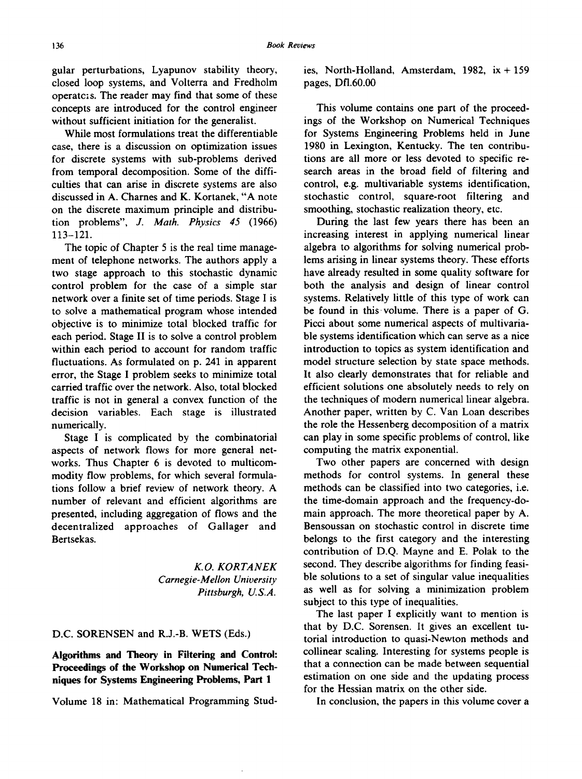gular perturbations, Lyapunov stability theory, closed loop systems, and Volterra and Fredholm operatc;s. The reader may find that some of these concepts are introduced for the control engineer without sufficient initiation for the generalist.

While most formulations treat the differentiable case, there is a discussion on optimization issues for discrete systems with sub-problems derived from temporal decomposition. Some of the difficulties that can arise in discrete systems are also discussed in A. Charnes and K. Kortanek, "A note on the discrete maximum principle and distribution problems", J. *Math. Physics 45* (1966) 113-121.

The topic of Chapter 5 is the real time management of telephone networks. The authors apply a two stage approach to this stochastic dynamic control problem for the case of a simple star network over a finite set of time periods. Stage I is to solve a mathematical program whose intended objective is to minimize total blocked traffic for each period. Stage II is to solve a control problem within each period to account for random traffic fluctuations. As formulated on p. 241 in apparent error, the Stage I problem seeks to minimize total carried traffic over the network. Also, total blocked traffic is not in general a convex function of the decision variables. Each stage is illustrated numerically.

Stage I is complicated by the combinatorial aspects of network flows for more general networks. Thus Chapter 6 is devoted to multicommodity flow problems, for which several formulations follow a brief review of network theory. A number of relevant and efficient algorithms are presented, including aggregation of flows and the decentralized approaches of Gallager and Bertsekas.

> *K.O. KOR TANEK Carnegie-Mellon Unioersity Pittsburgh, U.S.A.*

#### D.C. SORENSEN and R.J.-B. WETS (Eds.)

**Algorithms and Theory in Filtering and Control: Proceedings of the Workshop on Numerical Techniques for Systems Engineering Problems, Part 1** 

Volume 18 in: Mathematical Programming Stud-

ies, North-Holland, Amsterdam, 1982,  $ix + 159$ pages, Dfl.60.00

This volume contains one part of the proceedings of the Workshop on Numerical Techniques for Systems Engineering Problems held in June 1980 in Lexington, Kentucky. The ten contributions are all more or less devoted to specific research areas in the broad field of filtering and control, e.g. multivariable systems identification, stochastic control, square-root filtering and smoothing, stochastic realization theory, etc.

During the last few years there has been an increasing interest in applying numerical linear algebra to algorithms for solving numerical problems arising in linear systems theory. These efforts have already resulted in some quality software for both the analysis and design of linear control systems. Relatively little of this type of work can be found in this volume. There is a paper of G. Picci about some numerical aspects of multivariable systems identification which can serve as a nice introduction to topics as system identification and model structure selection by state space methods. It also clearly demonstrates that for reliable and efficient solutions one absolutely needs to rely on the techniques of modern numerical linear algebra. Another paper, written by C. Van Loan describes the role the Hessenberg decomposition of a matrix can play in some specific problems of control, like computing the matrix exponential.

Two other papers are concerned with design methods for control systems. In general these methods can be classified into two categories, i.e. the time-domain approach and the frequency-domain approach. The more theoretical paper by A. Bensoussan on stochastic control in discrete time belongs to the first category and the interesting contribution of D.Q. Mayne and E. Polak to the second. They describe algorithms for finding feasible solutions to a set of singular value inequalities as well as for solving a minimization problem subject to this type of inequalities.

The last paper I explicitly want to mention is that by D.C. Sorensen. It gives an excellent tutorial introduction to quasi-Newton methods and collinear scaling. Interesting for systems people is that a connection can be made between sequential estimation on one side and the updating process for the Hessian matrix on the other side.

In conclusion, the papers in this volume cover a